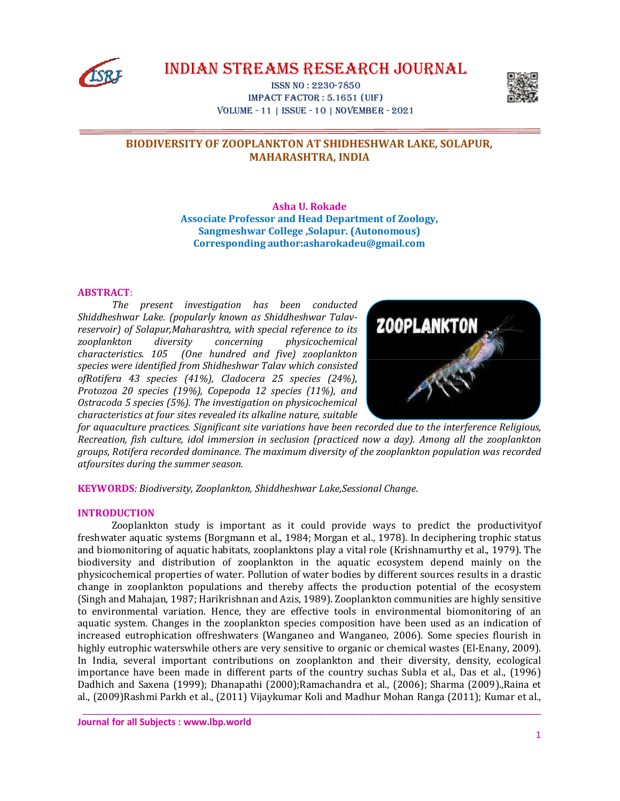

IndIan StreamS reSearch Journal

ISSn no : 2230-7850 Impact Factor : 5.1651 (uIF) Volume - 11 | ISSue - 10 | noVember - 2021



# **BIODIVERSITY OF ZOOPLANKTON AT SHIDHESHWAR LAKE, SOLAPUR, MAHARASHTRA, INDIA**

**Asha U. Rokade Associate Professor and Head Department of Zoology, Sangmeshwar College ,Solapur. (Autonomous) Corresponding author:asharokadeu@gmail.com**

# **ABSTRACT**:

*The present investigation has been conducted Shiddheshwar Lake. (popularly known as Shiddheshwar Talavreservoir) of Solapur,Maharashtra, with special reference to its zooplankton diversity concerning physicochemical characteristics. 105 (One hundred and five) zooplankton species were identified from Shidheshwar Talav which consisted ofRotifera 43 species (41%), Cladocera 25 species (24%), Protozoa 20 species (19%), Copepoda 12 species (11%), and Ostracoda 5 species (5%). The investigation on physicochemical characteristics at four sites revealed its alkaline nature, suitable* 



*for aquaculture practices. Significant site variations have been recorded due to the interference Religious, Recreation, fish culture, idol immersion in seclusion (practiced now a day). Among all the zooplankton groups, Rotifera recorded dominance. The maximum diversity of the zooplankton population was recorded atfoursites during the summer season.*

**KEYWORDS***: Biodiversity, Zooplankton, Shiddheshwar Lake,Sessional Change.*

## **INTRODUCTION**

Zooplankton study is important as it could provide ways to predict the productivityof freshwater aquatic systems (Borgmann et al., 1984; Morgan et al., 1978). In deciphering trophic status and biomonitoring of aquatic habitats, zooplanktons play a vital role (Krishnamurthy et al., 1979). The biodiversity and distribution of zooplankton in the aquatic ecosystem depend mainly on the physicochemical properties of water. Pollution of water bodies by different sources results in a drastic change in zooplankton populations and thereby affects the production potential of the ecosystem (Singh and Mahajan, 1987; Harikrishnan and Azis, 1989). Zooplankton communities are highly sensitive to environmental variation. Hence, they are effective tools in environmental biomonitoring of an aquatic system. Changes in the zooplankton species composition have been used as an indication of increased eutrophication offreshwaters (Wanganeo and Wanganeo, 2006). Some species flourish in highly eutrophic waterswhile others are very sensitive to organic or chemical wastes (El-Enany, 2009). In India, several important contributions on zooplankton and their diversity, density, ecological importance have been made in different parts of the country suchas Subla et al., Das et al., (1996) Dadhich and Saxena (1999); Dhanapathi (2000);Ramachandra et al., (2006); Sharma (2009).,Raina et al., (2009)Rashmi Parkh et al., (2011) Vijaykumar Koli and Madhur Mohan Ranga (2011); Kumar et al.,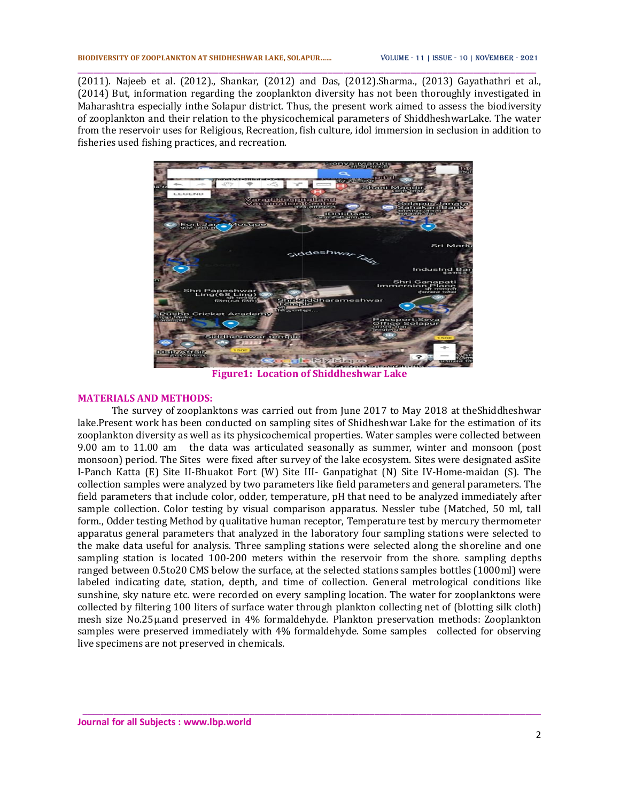(2011). Najeeb et al. (2012)., Shankar, (2012) and Das, (2012).Sharma., (2013) Gayathathri et al., (2014) But, information regarding the zooplankton diversity has not been thoroughly investigated in Maharashtra especially inthe Solapur district. Thus, the present work aimed to assess the biodiversity of zooplankton and their relation to the physicochemical parameters of ShiddheshwarLake. The water from the reservoir uses for Religious, Recreation, fish culture, idol immersion in seclusion in addition to fisheries used fishing practices, and recreation.

\_\_\_\_\_\_\_\_\_\_\_\_\_\_\_\_\_\_\_\_\_\_\_\_\_\_\_\_\_\_\_\_\_\_\_\_\_\_\_\_\_\_\_\_\_\_\_\_\_\_\_\_\_\_\_\_\_\_\_\_\_\_\_\_\_\_\_\_\_\_\_\_\_\_\_\_\_\_\_\_\_\_\_\_\_\_\_\_



**Figure1: Location of Shiddheshwar Lake**

### **MATERIALS AND METHODS:**

The survey of zooplanktons was carried out from June 2017 to May 2018 at theShiddheshwar lake.Present work has been conducted on sampling sites of Shidheshwar Lake for the estimation of its zooplankton diversity as well as its physicochemical properties. Water samples were collected between 9.00 am to 11.00 am the data was articulated seasonally as summer, winter and monsoon (post monsoon) period. The Sites were fixed after survey of the lake ecosystem. Sites were designated asSite I-Panch Katta (E) Site II-Bhuakot Fort (W) Site III- Ganpatighat (N) Site IV-Home-maidan (S). The collection samples were analyzed by two parameters like field parameters and general parameters. The field parameters that include color, odder, temperature, pH that need to be analyzed immediately after sample collection. Color testing by visual comparison apparatus. Nessler tube (Matched, 50 ml, tall form., Odder testing Method by qualitative human receptor, Temperature test by mercury thermometer apparatus general parameters that analyzed in the laboratory four sampling stations were selected to the make data useful for analysis. Three sampling stations were selected along the shoreline and one sampling station is located 100-200 meters within the reservoir from the shore. sampling depths ranged between 0.5to20 CMS below the surface, at the selected stations samples bottles (1000ml) were labeled indicating date, station, depth, and time of collection. General metrological conditions like sunshine, sky nature etc. were recorded on every sampling location. The water for zooplanktons were collected by filtering 100 liters of surface water through plankton collecting net of (blotting silk cloth) mesh size No.25µ.and preserved in 4% formaldehyde. Plankton preservation methods: Zooplankton samples were preserved immediately with 4% formaldehyde. Some samples collected for observing live specimens are not preserved in chemicals.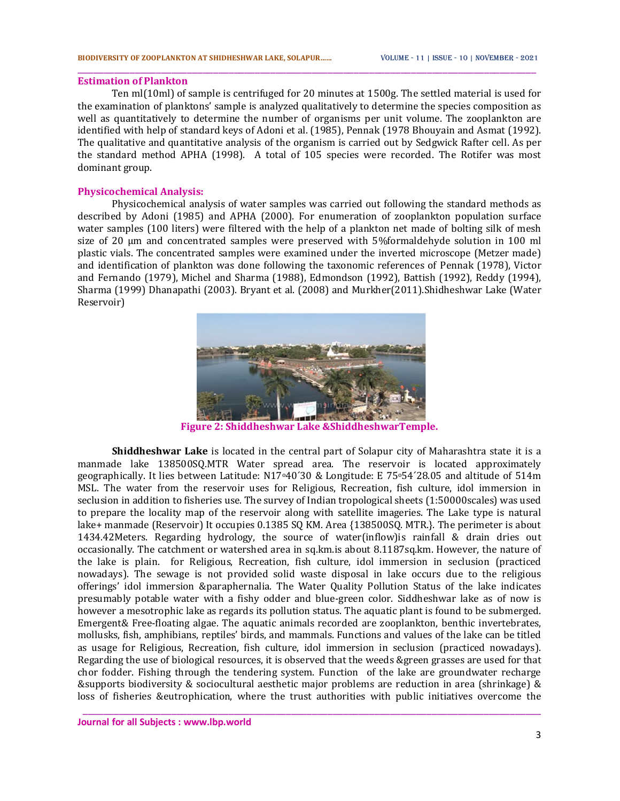#### **Estimation of Plankton**

Ten ml(10ml) of sample is centrifuged for 20 minutes at 1500g. The settled material is used for the examination of planktons' sample is analyzed qualitatively to determine the species composition as well as quantitatively to determine the number of organisms per unit volume. The zooplankton are identified with help of standard keys of Adoni et al. (1985), Pennak (1978 Bhouyain and Asmat (1992). The qualitative and quantitative analysis of the organism is carried out by Sedgwick Rafter cell. As per the standard method APHA (1998). A total of 105 species were recorded. The Rotifer was most dominant group.

\_\_\_\_\_\_\_\_\_\_\_\_\_\_\_\_\_\_\_\_\_\_\_\_\_\_\_\_\_\_\_\_\_\_\_\_\_\_\_\_\_\_\_\_\_\_\_\_\_\_\_\_\_\_\_\_\_\_\_\_\_\_\_\_\_\_\_\_\_\_\_\_\_\_\_\_\_\_\_\_\_\_\_\_\_\_\_\_

## **Physicochemical Analysis:**

Physicochemical analysis of water samples was carried out following the standard methods as described by Adoni (1985) and APHA (2000). For enumeration of zooplankton population surface water samples (100 liters) were filtered with the help of a plankton net made of bolting silk of mesh size of 20 µm and concentrated samples were preserved with 5%formaldehyde solution in 100 ml plastic vials. The concentrated samples were examined under the inverted microscope (Metzer made) and identification of plankton was done following the taxonomic references of Pennak (1978), Victor and Fernando (1979), Michel and Sharma (1988), Edmondson (1992), Battish (1992), Reddy (1994), Sharma (1999) Dhanapathi (2003). Bryant et al. (2008) and Murkher(2011).Shidheshwar Lake (Water Reservoir)



**Figure 2: Shiddheshwar Lake &ShiddheshwarTemple.**

**Shiddheshwar Lake** is located in the central part of Solapur city of Maharashtra state it is a manmade lake 138500SQ.MTR Water spread area. The reservoir is located approximately geographically. It lies between Latitude: N17o40´30 & Longitude: E 75o54´28.05 and altitude of 514m MSL. The water from the reservoir uses for Religious, Recreation, fish culture, idol immersion in seclusion in addition to fisheries use. The survey of Indian tropological sheets (1:50000scales) was used to prepare the locality map of the reservoir along with satellite imageries. The Lake type is natural lake+ manmade (Reservoir) It occupies 0.1385 SQ KM. Area {138500SQ. MTR.}. The perimeter is about 1434.42Meters. Regarding hydrology, the source of water(inflow)is rainfall & drain dries out occasionally. The catchment or watershed area in sq.km.is about 8.1187sq.km. However, the nature of the lake is plain. for Religious, Recreation, fish culture, idol immersion in seclusion (practiced nowadays). The sewage is not provided solid waste disposal in lake occurs due to the religious offerings' idol immersion &paraphernalia. The Water Quality Pollution Status of the lake indicates presumably potable water with a fishy odder and blue-green color. Siddheshwar lake as of now is however a mesotrophic lake as regards its pollution status. The aquatic plant is found to be submerged. Emergent& Free-floating algae. The aquatic animals recorded are zooplankton, benthic invertebrates, mollusks, fish, amphibians, reptiles' birds, and mammals. Functions and values of the lake can be titled as usage for Religious, Recreation, fish culture, idol immersion in seclusion (practiced nowadays). Regarding the use of biological resources, it is observed that the weeds &green grasses are used for that chor fodder. Fishing through the tendering system. Function of the lake are groundwater recharge &supports biodiversity & sociocultural aesthetic major problems are reduction in area (shrinkage) & loss of fisheries &eutrophication, where the trust authorities with public initiatives overcome the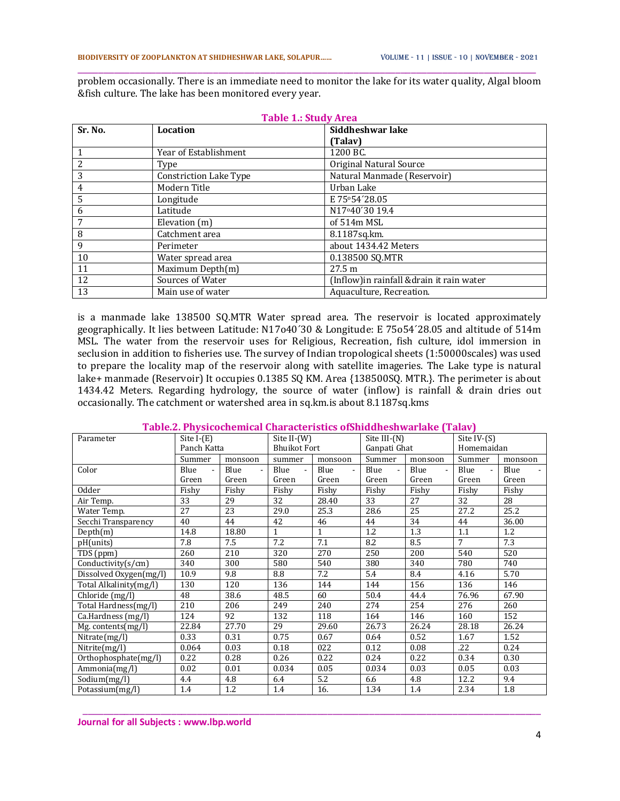\_\_\_\_\_\_\_\_\_\_\_\_\_\_\_\_\_\_\_\_\_\_\_\_\_\_\_\_\_\_\_\_\_\_\_\_\_\_\_\_\_\_\_\_\_\_\_\_\_\_\_\_\_\_\_\_\_\_\_\_\_\_\_\_\_\_\_\_\_\_\_\_\_\_\_\_\_\_\_\_\_\_\_\_\_\_\_\_ problem occasionally. There is an immediate need to monitor the lake for its water quality, Algal bloom &fish culture. The lake has been monitored every year.

|         |                               | <b>Table 1.: Study Area</b><br>Siddheshwar lake |  |  |  |  |
|---------|-------------------------------|-------------------------------------------------|--|--|--|--|
| Sr. No. | Location                      |                                                 |  |  |  |  |
|         |                               | (Talav)                                         |  |  |  |  |
|         | Year of Establishment         | 1200 BC.                                        |  |  |  |  |
| 2       | Type                          | Original Natural Source                         |  |  |  |  |
| 3       | <b>Constriction Lake Type</b> | Natural Manmade (Reservoir)                     |  |  |  |  |
| 4       | Modern Title                  | Urban Lake                                      |  |  |  |  |
| 5       | Longitude                     | E 75°54'28.05                                   |  |  |  |  |
| 6       | Latitude                      | N17 <sup>o</sup> 40'30 19.4                     |  |  |  |  |
| 7       | Elevation (m)                 | of 514m MSL                                     |  |  |  |  |
| 8       | Catchment area                | 8.1187sq.km.                                    |  |  |  |  |
| 9       | Perimeter                     | about 1434.42 Meters                            |  |  |  |  |
| 10      | Water spread area             | 0.138500 SQ.MTR                                 |  |  |  |  |
| 11      | Maximum Depth(m)              | 27.5 m                                          |  |  |  |  |
| 12      | Sources of Water              | (Inflow)in rainfall & drain it rain water       |  |  |  |  |
| 13      | Main use of water             | Aquaculture, Recreation.                        |  |  |  |  |

is a manmade lake 138500 SQ.MTR Water spread area. The reservoir is located approximately geographically. It lies between Latitude: N17o40´30 & Longitude: E 75o54´28.05 and altitude of 514m MSL. The water from the reservoir uses for Religious, Recreation, fish culture, idol immersion in seclusion in addition to fisheries use. The survey of Indian tropological sheets (1:50000scales) was used to prepare the locality map of the reservoir along with satellite imageries. The Lake type is natural lake+ manmade (Reservoir) It occupies 0.1385 SQ KM. Area {138500SQ. MTR.}. The perimeter is about 1434.42 Meters. Regarding hydrology, the source of water (inflow) is rainfall & drain dries out occasionally. The catchment or watershed area in sq.km.is about 8.1187sq.kms

| Parameter                                | Site $I-(E)$           |         | $\left  \text{a} \right $ , and $\left  \text{a} \right $ are contributed to the contribution of $\left  \text{a} \right $<br>Site II-(W) |                        | Site III $-(N)$        |         | Site $IV-(S)$          |         |  |
|------------------------------------------|------------------------|---------|-------------------------------------------------------------------------------------------------------------------------------------------|------------------------|------------------------|---------|------------------------|---------|--|
|                                          | Panch Katta            |         | <b>Bhuikot Fort</b>                                                                                                                       |                        | Ganpati Ghat           |         | Homemaidan             |         |  |
|                                          | Summer                 | monsoon | summer                                                                                                                                    | monsoon                | Summer                 | monsoon | Summer                 | monsoon |  |
| Color                                    | Blue<br>$\blacksquare$ | Blue    | Blue<br>$\sim$                                                                                                                            | Blue<br>$\blacksquare$ | Blue<br>$\blacksquare$ | Blue    | Blue<br>$\blacksquare$ | Blue    |  |
|                                          | Green                  | Green   | Green                                                                                                                                     | Green                  | Green                  | Green   | Green                  | Green   |  |
| <b>Odder</b>                             | Fishy                  | Fishy   | Fishy                                                                                                                                     | Fishy                  | Fishy                  | Fishy   | Fishy                  | Fishy   |  |
| Air Temp.                                | 33                     | 29      | 32                                                                                                                                        | 28.40                  | 33                     | 27      | 32                     | 28      |  |
| Water Temp.                              | 27                     | 23      | 29.0                                                                                                                                      | 25.3                   | 28.6                   | 25      | 27.2                   | 25.2    |  |
| Secchi Transparency                      | 40                     | 44      | 42                                                                                                                                        | 46                     | 34<br>44               |         | 44                     | 36.00   |  |
| Depth(m)                                 | 14.8                   | 18.80   | $\mathbf{1}$                                                                                                                              | $\mathbf{1}$           | 1.2<br>1.3             |         | 1.1                    | 1.2     |  |
| pH(units)                                | 7.8                    | 7.5     | 7.2                                                                                                                                       | 7.1                    | 8.2<br>8.5             |         | $\overline{7}$         | 7.3     |  |
| TDS (ppm)                                | 260                    | 210     | 320                                                                                                                                       | 270                    | 250                    | 200     | 540                    | 520     |  |
| $\overline{\text{Conductivity}}(s/cm)$   | 340                    | 300     | 580                                                                                                                                       | 540                    | 380                    | 340     | 780                    | 740     |  |
| Dissolved Oxygen(mg/l)                   | 10.9                   | 9.8     | 8.8                                                                                                                                       | 7.2                    | 5.4                    | 8.4     | 4.16                   | 5.70    |  |
| Total Alkalinity(mg/l)                   | 130                    | 120     | 136                                                                                                                                       | 144                    | 144                    | 156     | 136                    | 146     |  |
| Chloride (mg/l)                          | 48                     | 38.6    | 48.5                                                                                                                                      | 60                     | 50.4                   | 44.4    | 76.96                  | 67.90   |  |
| Total Hardness(mg/l)                     | 210                    | 206     | 249                                                                                                                                       | 240                    | 274                    | 254     | 276                    | 260     |  |
| Ca.Hardness (mg/l)                       | 124                    | 92      | 132                                                                                                                                       | 118                    | 164                    | 146     | 160<br>152             |         |  |
| $Mg.$ contents(mg/l)                     | 22.84                  | 27.70   | 29                                                                                                                                        | 29.60                  | 26.73                  | 26.24   | 28.18                  | 26.24   |  |
| Nitrate(mg/l)                            | 0.33                   | 0.31    | 0.75                                                                                                                                      | 0.67                   | 0.64                   | 0.52    | 1.67                   | 1.52    |  |
| $\overline{\text{Nitrite}}(\text{mg/l})$ | 0.064                  | 0.03    | 0.18                                                                                                                                      | 022                    | 0.12                   | 0.08    | .22                    | 0.24    |  |
| Orthophosphate(mg/l)                     | 0.22                   | 0.28    | 0.26                                                                                                                                      | 0.22                   | 0.24                   | 0.22    | 0.34                   | 0.30    |  |
| Ammonia(mg/l)                            | 0.02                   | 0.01    | 0.034                                                                                                                                     | 0.05                   | 0.034                  | 0.03    | 0.05                   | 0.03    |  |
| Sodium(mg/l)                             | 4.4                    | 4.8     | 6.4                                                                                                                                       | 5.2                    | 6.6                    | 4.8     | 12.2                   | 9.4     |  |
| Potassium(mg/l)                          | 1.4                    | 1.2     | 1.4                                                                                                                                       | 16.                    | 1.34                   | 1.4     | 2.34                   | 1.8     |  |

\_\_\_\_\_\_\_\_\_\_\_\_\_\_\_\_\_\_\_\_\_\_\_\_\_\_\_\_\_\_\_\_\_\_\_\_\_\_\_\_\_\_\_\_\_\_\_\_\_\_\_\_\_\_\_\_\_\_\_\_\_\_\_\_\_\_\_\_\_\_\_\_\_\_\_\_\_\_\_\_\_\_\_\_\_\_\_\_

## **Table.2. Physicochemical Characteristics ofShiddheshwarlake (Talav)**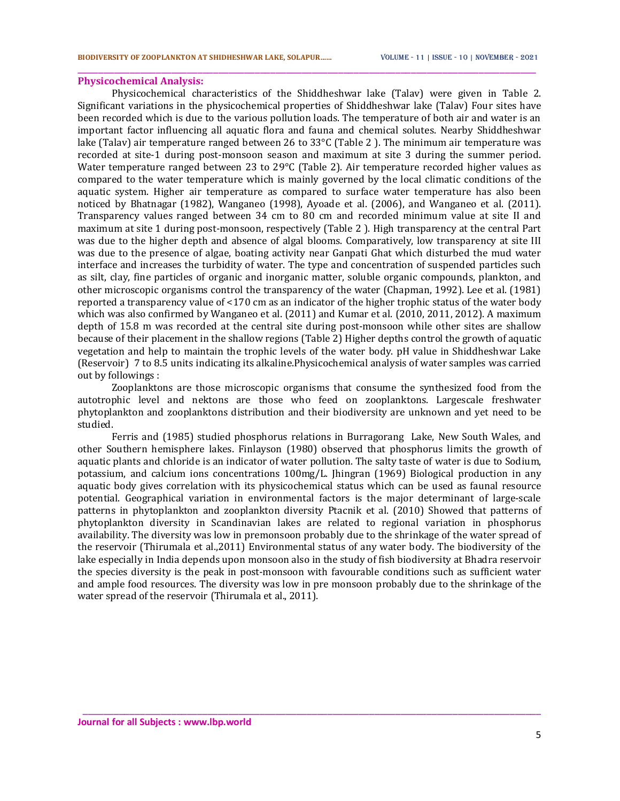## **Physicochemical Analysis:**

Physicochemical characteristics of the Shiddheshwar lake (Talav) were given in Table 2. Significant variations in the physicochemical properties of Shiddheshwar lake (Talav) Four sites have been recorded which is due to the various pollution loads. The temperature of both air and water is an important factor influencing all aquatic flora and fauna and chemical solutes. Nearby Shiddheshwar lake (Talav) air temperature ranged between 26 to 33°C (Table 2 ). The minimum air temperature was recorded at site-1 during post-monsoon season and maximum at site 3 during the summer period. Water temperature ranged between 23 to 29°C (Table 2). Air temperature recorded higher values as compared to the water temperature which is mainly governed by the local climatic conditions of the aquatic system. Higher air temperature as compared to surface water temperature has also been noticed by Bhatnagar (1982), Wanganeo (1998), Ayoade et al. (2006), and Wanganeo et al. (2011). Transparency values ranged between 34 cm to 80 cm and recorded minimum value at site II and maximum at site 1 during post-monsoon, respectively (Table 2 ). High transparency at the central Part was due to the higher depth and absence of algal blooms. Comparatively, low transparency at site III was due to the presence of algae, boating activity near Ganpati Ghat which disturbed the mud water interface and increases the turbidity of water. The type and concentration of suspended particles such as silt, clay, fine particles of organic and inorganic matter, soluble organic compounds, plankton, and other microscopic organisms control the transparency of the water (Chapman, 1992). Lee et al. (1981) reported a transparency value of <170 cm as an indicator of the higher trophic status of the water body which was also confirmed by Wanganeo et al. (2011) and Kumar et al. (2010, 2011, 2012). A maximum depth of 15.8 m was recorded at the central site during post-monsoon while other sites are shallow because of their placement in the shallow regions (Table 2) Higher depths control the growth of aquatic vegetation and help to maintain the trophic levels of the water body. pH value in Shiddheshwar Lake (Reservoir) 7 to 8.5 units indicating its alkaline.Physicochemical analysis of water samples was carried out by followings :

\_\_\_\_\_\_\_\_\_\_\_\_\_\_\_\_\_\_\_\_\_\_\_\_\_\_\_\_\_\_\_\_\_\_\_\_\_\_\_\_\_\_\_\_\_\_\_\_\_\_\_\_\_\_\_\_\_\_\_\_\_\_\_\_\_\_\_\_\_\_\_\_\_\_\_\_\_\_\_\_\_\_\_\_\_\_\_\_

Zooplanktons are those microscopic organisms that consume the synthesized food from the autotrophic level and nektons are those who feed on zooplanktons. Largescale freshwater phytoplankton and zooplanktons distribution and their biodiversity are unknown and yet need to be studied.

Ferris and (1985) studied phosphorus relations in Burragorang Lake, New South Wales, and other Southern hemisphere lakes. Finlayson (1980) observed that phosphorus limits the growth of aquatic plants and chloride is an indicator of water pollution. The salty taste of water is due to Sodium, potassium, and calcium ions concentrations 100mg/L. Jhingran (1969) Biological production in any aquatic body gives correlation with its physicochemical status which can be used as faunal resource potential. Geographical variation in environmental factors is the major determinant of large-scale patterns in phytoplankton and zooplankton diversity Ptacnik et al. (2010) Showed that patterns of phytoplankton diversity in Scandinavian lakes are related to regional variation in phosphorus availability. The diversity was low in premonsoon probably due to the shrinkage of the water spread of the reservoir (Thirumala et al.,2011) Environmental status of any water body. The biodiversity of the lake especially in India depends upon monsoon also in the study of fish biodiversity at Bhadra reservoir the species diversity is the peak in post-monsoon with favourable conditions such as sufficient water and ample food resources. The diversity was low in pre monsoon probably due to the shrinkage of the water spread of the reservoir (Thirumala et al., 2011).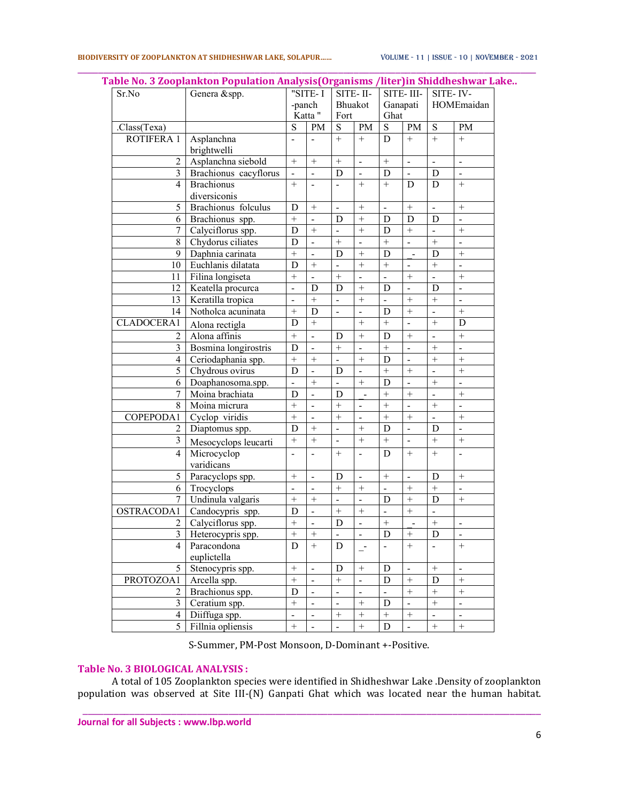| Sr.No             | abie No. 5 zoopialikuul Population Alialysis(Organishis / liter)in Sinuunesilwar Lak<br>Genera &spp. |                   | "SITE-I                  |                          | SITE-II-                     | $\overline{\text{SITE}}$ - III-<br>Ganapati |                              | SITE-IV-<br>HOMEmaidan       |                          |
|-------------------|------------------------------------------------------------------------------------------------------|-------------------|--------------------------|--------------------------|------------------------------|---------------------------------------------|------------------------------|------------------------------|--------------------------|
|                   |                                                                                                      |                   | -panch                   | Bhuakot                  |                              |                                             |                              |                              |                          |
|                   |                                                                                                      | Katta "           |                          | Fort                     |                              | Ghat                                        |                              |                              |                          |
| .Class(Texa)      |                                                                                                      | S                 | <b>PM</b>                | S                        | PM                           | ${\bf S}$                                   | PM                           | ${\bf S}$                    | PM                       |
| <b>ROTIFERA 1</b> | Asplanchna                                                                                           | ÷,                | $\blacksquare$           | $+$                      | $+$                          | D                                           | $+$                          | $+$                          | $+$                      |
|                   | brightwelli                                                                                          |                   |                          |                          |                              |                                             |                              |                              |                          |
| $\overline{c}$    | Asplanchna siebold                                                                                   | $\boldsymbol{+}$  | $+$                      | $\, +$                   | $\overline{\phantom{a}}$     | $\! + \!$                                   | ÷                            | $\qquad \qquad \blacksquare$ | $\overline{\phantom{a}}$ |
| $\overline{3}$    | Brachionus cacyflorus                                                                                | $\equiv$          | $\blacksquare$           | D                        | $\frac{1}{2}$                | D                                           | $\blacksquare$               | D                            | $\blacksquare$           |
| 4                 | <b>Brachionus</b>                                                                                    | $+$               |                          |                          | $+$                          | $^{+}$                                      | D                            | D                            |                          |
|                   | diversiconis                                                                                         |                   |                          |                          |                              |                                             |                              |                              |                          |
| 5                 | Brachionus folculus                                                                                  | D                 |                          |                          | $^{+}$                       | $\blacksquare$                              | $\qquad \qquad +$            | $\blacksquare$               |                          |
| 6                 | Brachionus spp.                                                                                      | $\overline{+}$    | $\overline{\phantom{a}}$ | D                        | $\ddot{}$                    | D                                           | D                            | D                            | $\overline{a}$           |
| $\overline{7}$    | Calyciflorus spp.                                                                                    | D                 | $^{+}$                   | $\Box$                   | $\ddot{}$                    | D                                           | $\qquad \qquad +$            | $\mathbf{r}$                 | $\ddot{}$                |
| 8                 | Chydorus ciliates                                                                                    | D                 | $\blacksquare$           | $+$                      | $\blacksquare$               | $\! + \!$                                   | $\blacksquare$               | $+$                          | $\blacksquare$           |
| 9                 | Daphnia carinata                                                                                     | $\ddot{}$         | $\blacksquare$           | D                        | $\qquad \qquad +$            | D                                           | $\blacksquare$               | D                            | $^{+}$                   |
| 10                | Euchlanis dilatata                                                                                   | D                 | $+$                      |                          | $\ddot{}$                    | $^{+}$                                      | ÷                            | $^{+}$                       |                          |
| 11                | Filina longiseta                                                                                     | $^{+}$            | $\blacksquare$           | $\, +$                   | $\qquad \qquad \blacksquare$ | $\frac{1}{2}$                               | $^{+}$                       |                              | $\boldsymbol{+}$         |
| 12                | Keatella procurca                                                                                    | $\overline{a}$    | D                        | D                        | $+$                          | D                                           | $\overline{a}$               | D                            | $\overline{a}$           |
| 13                | Keratilla tropica                                                                                    | ÷,                | $+$                      | ÷,                       | $\ddot{}$                    | $\blacksquare$                              | $\ddot{}$                    | $^{+}$                       | $\overline{\phantom{0}}$ |
| 14                | Notholca acuninata                                                                                   | $\ddot{}$         | D                        | $\overline{\phantom{a}}$ | $\overline{\phantom{0}}$     | D                                           | $\overline{+}$               | $\overline{\phantom{0}}$     | $^{+}$                   |
| CLADOCERA1        | Alona rectigla                                                                                       | D                 | $+$                      |                          | $\overline{+}$               | $\ddot{}$                                   | $\overline{a}$               | $\ddot{}$                    | D                        |
| 2                 | Alona affinis                                                                                        | $^{+}$            | $\overline{a}$           | D                        | $^{+}$                       | D                                           | $^{+}$                       | $\blacksquare$               | $+$                      |
| $\overline{3}$    | Bosmina longirostris                                                                                 | D                 | $\blacksquare$           | $\ddot{}$                |                              | $\ddot{}$                                   | $\overline{a}$               | $^{+}$                       | $\overline{a}$           |
| $\overline{4}$    | Ceriodaphania spp.                                                                                   | $\overline{+}$    | $\ddot{}$                |                          | $\ddot{}$                    | D                                           | $\overline{a}$               | $\ddot{}$                    | $\overline{+}$           |
| 5                 | Chydrous ovirus                                                                                      | D                 | $\overline{a}$           | D                        | $\overline{a}$               | $+$                                         | $\ddot{}$                    | $\overline{a}$               | $^{+}$                   |
| 6                 | Doaphanosoma.spp.                                                                                    | ÷.                | $\! +$                   | L.                       | $\, +$                       | D                                           | $\overline{a}$               | $+$                          | $\Box$                   |
| 7                 | Moina brachiata                                                                                      | D                 | $\blacksquare$           | D                        | $\overline{a}$               | $\! + \!$                                   | $\ddot{}$                    | ÷,                           | $^{+}$                   |
| 8                 | Moina micrura                                                                                        | $\! + \!$         | $\blacksquare$           | $\! + \!$                | $\overline{\phantom{a}}$     |                                             | $\blacksquare$               |                              | $\overline{\phantom{a}}$ |
| COPEPODA1         | Cyclop viridis                                                                                       | $\overline{+}$    |                          | $\ddot{}$                | $\overline{\phantom{0}}$     | $^{+}$                                      | $\ddot{}$                    |                              | $^{+}$                   |
| 2                 | Diaptomus spp.                                                                                       | D                 | $+$                      | $\overline{\phantom{a}}$ |                              | D                                           | $\overline{a}$               | D                            | $\blacksquare$           |
| 3                 | Mesocyclops leucarti                                                                                 | $+$               | $+$                      |                          | $+$                          | $^{+}$                                      | ÷,                           | $+$                          | $+$                      |
| $\overline{4}$    | Microcyclop                                                                                          | ÷,                | $\frac{1}{2}$            | $+$                      | $\frac{1}{2}$                | D                                           | $+$                          |                              | $\frac{1}{2}$            |
|                   | varidicans                                                                                           |                   |                          |                          |                              |                                             |                              |                              |                          |
| 5                 | Paracyclops spp.                                                                                     |                   | $\overline{a}$           | D                        | $\overline{a}$               |                                             | $\overline{a}$               | D                            |                          |
| 6                 | Trocyclops                                                                                           | ÷,                | $\blacksquare$           | $^{+}$                   | $\ddot{}$                    | ÷,                                          | $\ddot{}$                    | $+$                          | $\overline{a}$           |
| $\tau$            | Undinula valgaris                                                                                    | $\ddot{}$         | $^{+}$                   | $\overline{\phantom{a}}$ | $\overline{\phantom{0}}$     | D                                           | $\ddot{}$                    | D                            |                          |
| OSTRACODA1        | Candocypris spp.                                                                                     | D                 | $\blacksquare$           | $\ddot{}$                | $\ddot{}$                    |                                             | $+$                          |                              |                          |
|                   | Calyciflorus spp.                                                                                    | $\overline{+}$    | $\overline{a}$           | D                        | $\overline{\phantom{a}}$     | $\! + \!$                                   |                              | $\ddot{}$                    |                          |
| 2                 |                                                                                                      | $\ddot{}$         | $+$                      |                          |                              | $\mathbf D$                                 | ÷,<br>$+$                    | $\mathbf D$                  | $\overline{a}$           |
| $\overline{3}$    | Heterocypris spp.                                                                                    |                   | $+$                      |                          |                              |                                             | $+$                          |                              |                          |
| 4                 | Paracondona                                                                                          | D                 |                          | D                        | $\overline{a}$               | $\blacksquare$                              |                              | ÷,                           | $+$                      |
| 5                 | euplictella                                                                                          |                   |                          |                          |                              |                                             |                              |                              |                          |
|                   | Stenocypris spp.                                                                                     | $\! + \!$         | $\blacksquare$           | D                        | $\boldsymbol{+}$             | D                                           | $\qquad \qquad \blacksquare$ | $\boldsymbol{+}$             | $\blacksquare$           |
| PROTOZOA1         | Arcella spp.                                                                                         | $\qquad \qquad +$ | $\qquad \qquad -$        | $\boldsymbol{+}$         | $\blacksquare$               | D                                           | $\! + \!$                    | $\mathbf D$                  | $\boldsymbol{+}$         |
| $\overline{c}$    | Brachionus spp.                                                                                      | D                 | $\blacksquare$           | $\blacksquare$           | $\overline{a}$               | L.                                          | $\! + \!$                    | $+$                          | $\boldsymbol{+}$         |
| 3                 | Ceratium spp.                                                                                        | $^{+}$            |                          |                          | $\ddot{}$                    | D                                           |                              |                              | $\blacksquare$           |
| $\overline{4}$    | Diiffuga spp.                                                                                        | $\blacksquare$    | $\blacksquare$           | $\! + \!$                | $\ddot{}$                    | $\qquad \qquad +$                           | $\qquad \qquad +$            | $\blacksquare$               | $\blacksquare$           |
| 5                 | Fillnia opliensis                                                                                    | $\overline{+}$    | $\overline{a}$           |                          | $\overline{+}$               | D                                           | $\overline{a}$               | $\qquad \qquad +$            | $\overline{+}$           |

\_\_\_\_\_\_\_\_\_\_\_\_\_\_\_\_\_\_\_\_\_\_\_\_\_\_\_\_\_\_\_\_\_\_\_\_\_\_\_\_\_\_\_\_\_\_\_\_\_\_\_\_\_\_\_\_\_\_\_\_\_\_\_\_\_\_\_\_\_\_\_\_\_\_\_\_\_\_\_\_\_\_\_\_\_\_\_\_ **Table No. 3 Zooplankton Population Analysis(Organisms /liter)in Shiddheshwar Lake..**

S-Summer, PM-Post Monsoon, D-Dominant +-Positive.

# **Table No. 3 BIOLOGICAL ANALYSIS :**

A total of 105 Zooplankton species were identified in Shidheshwar Lake .Density of zooplankton population was observed at Site III-(N) Ganpati Ghat which was located near the human habitat.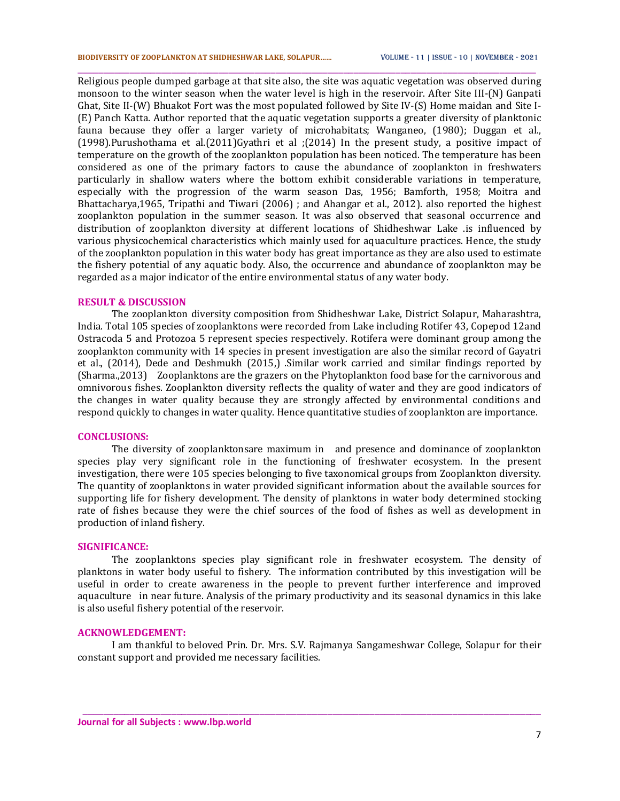Religious people dumped garbage at that site also, the site was aquatic vegetation was observed during monsoon to the winter season when the water level is high in the reservoir. After Site III-(N) Ganpati Ghat, Site II-(W) Bhuakot Fort was the most populated followed by Site IV-(S) Home maidan and Site I- (E) Panch Katta. Author reported that the aquatic vegetation supports a greater diversity of planktonic fauna because they offer a larger variety of microhabitats; Wanganeo, (1980); Duggan et al., (1998).Purushothama et al.(2011)Gyathri et al ;(2014) In the present study, a positive impact of temperature on the growth of the zooplankton population has been noticed. The temperature has been considered as one of the primary factors to cause the abundance of zooplankton in freshwaters particularly in shallow waters where the bottom exhibit considerable variations in temperature, especially with the progression of the warm season Das, 1956; Bamforth, 1958; Moitra and Bhattacharya,1965, Tripathi and Tiwari (2006) ; and Ahangar et al., 2012). also reported the highest zooplankton population in the summer season. It was also observed that seasonal occurrence and distribution of zooplankton diversity at different locations of Shidheshwar Lake .is influenced by various physicochemical characteristics which mainly used for aquaculture practices. Hence, the study of the zooplankton population in this water body has great importance as they are also used to estimate the fishery potential of any aquatic body. Also, the occurrence and abundance of zooplankton may be regarded as a major indicator of the entire environmental status of any water body.

\_\_\_\_\_\_\_\_\_\_\_\_\_\_\_\_\_\_\_\_\_\_\_\_\_\_\_\_\_\_\_\_\_\_\_\_\_\_\_\_\_\_\_\_\_\_\_\_\_\_\_\_\_\_\_\_\_\_\_\_\_\_\_\_\_\_\_\_\_\_\_\_\_\_\_\_\_\_\_\_\_\_\_\_\_\_\_\_

#### **RESULT & DISCUSSION**

The zooplankton diversity composition from Shidheshwar Lake, District Solapur, Maharashtra, India. Total 105 species of zooplanktons were recorded from Lake including Rotifer 43, Copepod 12and Ostracoda 5 and Protozoa 5 represent species respectively. Rotifera were dominant group among the zooplankton community with 14 species in present investigation are also the similar record of Gayatri et al., (2014), Dede and Deshmukh (2015,) .Similar work carried and similar findings reported by (Sharma.,2013) Zooplanktons are the grazers on the Phytoplankton food base for the carnivorous and omnivorous fishes. Zooplankton diversity reflects the quality of water and they are good indicators of the changes in water quality because they are strongly affected by environmental conditions and respond quickly to changes in water quality. Hence quantitative studies of zooplankton are importance.

## **CONCLUSIONS:**

The diversity of zooplanktonsare maximum in and presence and dominance of zooplankton species play very significant role in the functioning of freshwater ecosystem. In the present investigation, there were 105 species belonging to five taxonomical groups from Zooplankton diversity. The quantity of zooplanktons in water provided significant information about the available sources for supporting life for fishery development. The density of planktons in water body determined stocking rate of fishes because they were the chief sources of the food of fishes as well as development in production of inland fishery.

#### **SIGNIFICANCE:**

The zooplanktons species play significant role in freshwater ecosystem. The density of planktons in water body useful to fishery. The information contributed by this investigation will be useful in order to create awareness in the people to prevent further interference and improved aquaculture in near future. Analysis of the primary productivity and its seasonal dynamics in this lake is also useful fishery potential of the reservoir.

### **ACKNOWLEDGEMENT:**

I am thankful to beloved Prin. Dr. Mrs. S.V. Rajmanya Sangameshwar College, Solapur for their constant support and provided me necessary facilities.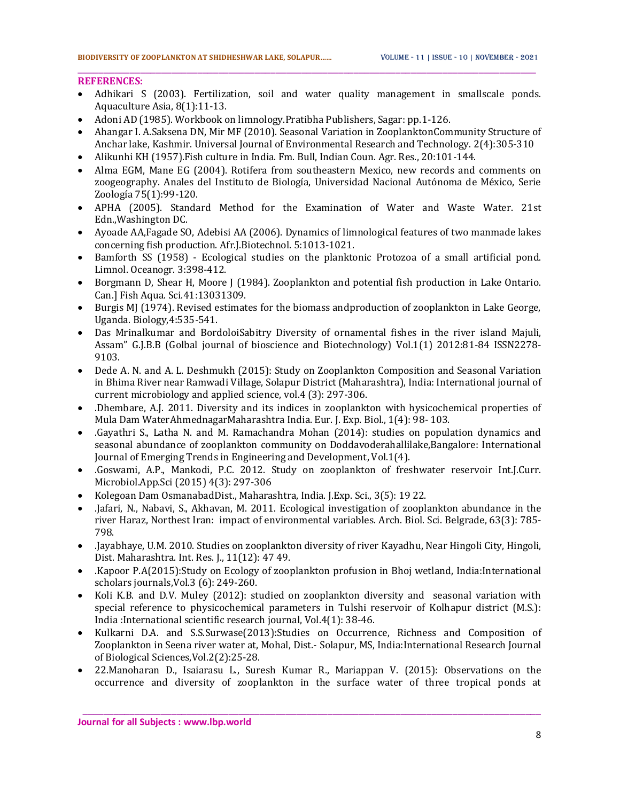## **REFERENCES:**

 Adhikari S (2003). Fertilization, soil and water quality management in smallscale ponds. Aquaculture Asia, 8(1):11-13.

\_\_\_\_\_\_\_\_\_\_\_\_\_\_\_\_\_\_\_\_\_\_\_\_\_\_\_\_\_\_\_\_\_\_\_\_\_\_\_\_\_\_\_\_\_\_\_\_\_\_\_\_\_\_\_\_\_\_\_\_\_\_\_\_\_\_\_\_\_\_\_\_\_\_\_\_\_\_\_\_\_\_\_\_\_\_\_\_

- Adoni AD (1985). Workbook on limnology.Pratibha Publishers, Sagar: pp.1-126.
- Ahangar I. A.Saksena DN, Mir MF (2010). Seasonal Variation in ZooplanktonCommunity Structure of Anchar lake, Kashmir. Universal Journal of Environmental Research and Technology. 2(4):305-310
- Alikunhi KH (1957). Fish culture in India. Fm. Bull, Indian Coun. Agr. Res., 20:101-144.
- Alma EGM, Mane EG (2004). Rotifera from southeastern Mexico, new records and comments on zoogeography. Anales del Instituto de Biología, Universidad Nacional Autónoma de México, Serie Zoología 75(1):99-120.
- APHA (2005). Standard Method for the Examination of Water and Waste Water. 21st Edn.,Washington DC.
- Ayoade AA,Fagade SO, Adebisi AA (2006). Dynamics of limnological features of two manmade lakes concerning fish production. Afr.J.Biotechnol. 5:1013-1021.
- Bamforth SS (1958) Ecological studies on the planktonic Protozoa of a small artificial pond. Limnol. Oceanogr. 3:398-412.
- Borgmann D, Shear H, Moore J (1984). Zooplankton and potential fish production in Lake Ontario. Can.] Fish Aqua. Sci.41:13031309.
- Burgis MJ (1974). Revised estimates for the biomass andproduction of zooplankton in Lake George, Uganda. Biology,4:535-541.
- Das Mrinalkumar and BordoloiSabitry Diversity of ornamental fishes in the river island Majuli, Assam" G.J.B.B (Golbal journal of bioscience and Biotechnology) Vol.1(1) 2012:81-84 ISSN2278- 9103.
- Dede A. N. and A. L. Deshmukh (2015): Study on Zooplankton Composition and Seasonal Variation in Bhima River near Ramwadi Village, Solapur District (Maharashtra), India: International journal of current microbiology and applied science, vol.4 (3): 297-306.
- .Dhembare, A.J. 2011. Diversity and its indices in zooplankton with hysicochemical properties of Mula Dam WaterAhmednagarMaharashtra India. Eur. J. Exp. Biol., 1(4): 98- 103.
- .Gayathri S., Latha N. and M. Ramachandra Mohan (2014): studies on population dynamics and seasonal abundance of zooplankton community on Doddavoderahallilake,Bangalore: International Journal of Emerging Trends in Engineering and Development, Vol.1(4).
- .Goswami, A.P., Mankodi, P.C. 2012. Study on zooplankton of freshwater reservoir Int.J.Curr. Microbiol.App.Sci (2015) 4(3): 297-306
- Kolegoan Dam OsmanabadDist., Maharashtra, India. J.Exp. Sci., 3(5): 19 22.
- .Jafari, N., Nabavi, S., Akhavan, M. 2011. Ecological investigation of zooplankton abundance in the river Haraz, Northest Iran: impact of environmental variables. Arch. Biol. Sci. Belgrade, 63(3): 785- 798.
- .Jayabhaye, U.M. 2010. Studies on zooplankton diversity of river Kayadhu, Near Hingoli City, Hingoli, Dist. Maharashtra. Int. Res. J., 11(12): 47 49.
- .Kapoor P.A(2015):Study on Ecology of zooplankton profusion in Bhoj wetland, India:International scholars journals,Vol.3 (6): 249-260.
- Koli K.B. and D.V. Muley (2012): studied on zooplankton diversity and seasonal variation with special reference to physicochemical parameters in Tulshi reservoir of Kolhapur district (M.S.): India :International scientific research journal, Vol.4(1): 38-46.
- Kulkarni D.A. and S.S.Surwase(2013):Studies on Occurrence, Richness and Composition of Zooplankton in Seena river water at, Mohal, Dist.- Solapur, MS, India:International Research Journal of Biological Sciences,Vol.2(2):25-28.
- 22.Manoharan D., Isaiarasu L., Suresh Kumar R., Mariappan V. (2015): Observations on the occurrence and diversity of zooplankton in the surface water of three tropical ponds at